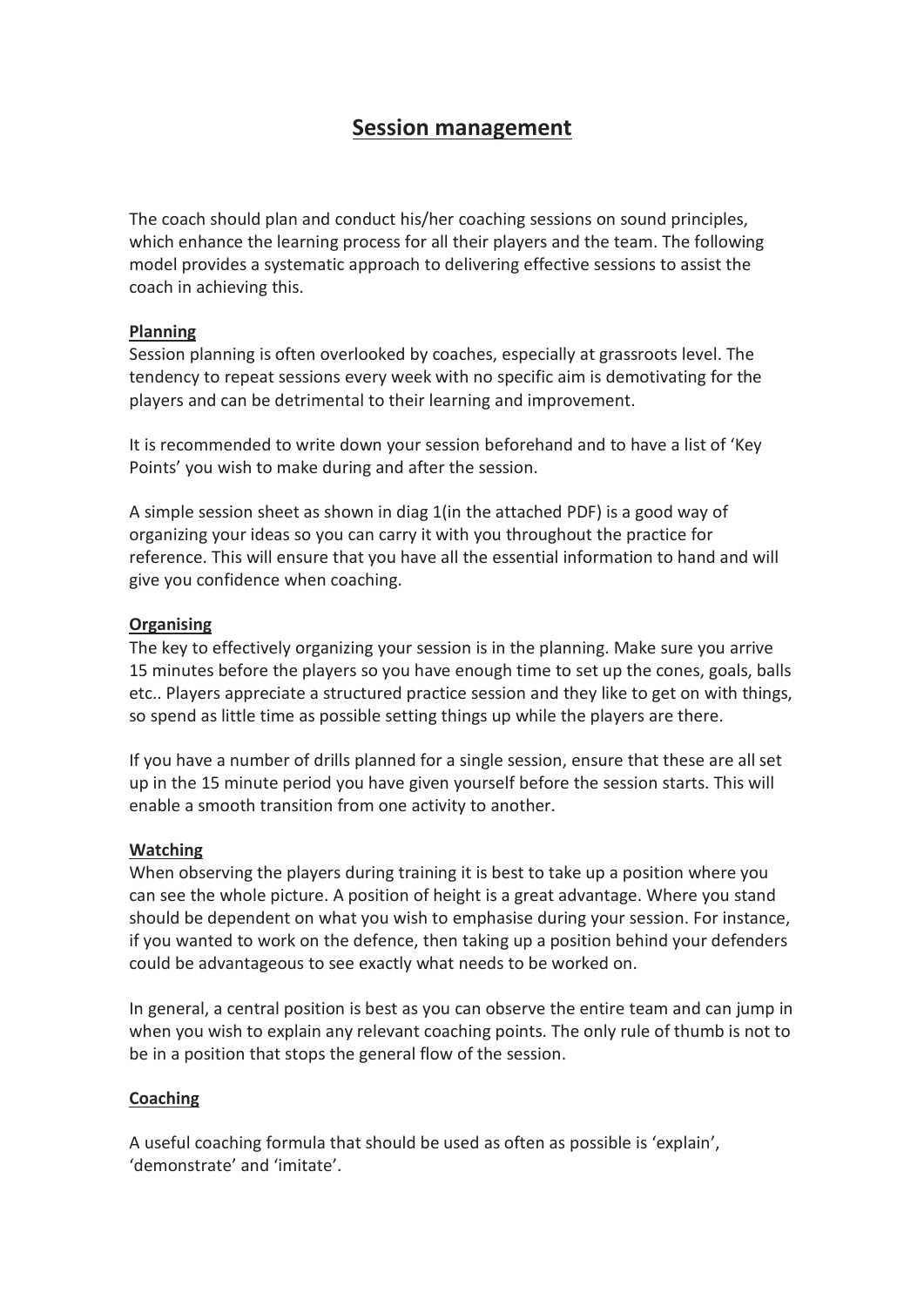# **Session management**

The coach should plan and conduct his/her coaching sessions on sound principles, which enhance the learning process for all their players and the team. The following model provides a systematic approach to delivering effective sessions to assist the coach in achieving this.

### **Planning**

Session planning is often overlooked by coaches, especially at grassroots level. The tendency to repeat sessions every week with no specific aim is demotivating for the players and can be detrimental to their learning and improvement.

It is recommended to write down your session beforehand and to have a list of 'Key Points' you wish to make during and after the session.

A simple session sheet as shown in diag 1(in the attached PDF) is a good way of organizing your ideas so you can carry it with you throughout the practice for reference. This will ensure that you have all the essential information to hand and will give you confidence when coaching.

### **Organising**

The key to effectively organizing your session is in the planning. Make sure you arrive 15 minutes before the players so you have enough time to set up the cones, goals, balls etc.. Players appreciate a structured practice session and they like to get on with things, so spend as little time as possible setting things up while the players are there.

If you have a number of drills planned for a single session, ensure that these are all set up in the 15 minute period you have given yourself before the session starts. This will enable a smooth transition from one activity to another.

# **Watching**

When observing the players during training it is best to take up a position where you can see the whole picture. A position of height is a great advantage. Where you stand should be dependent on what you wish to emphasise during your session. For instance, if you wanted to work on the defence, then taking up a position behind your defenders could be advantageous to see exactly what needs to be worked on.

In general, a central position is best as you can observe the entire team and can jump in when you wish to explain any relevant coaching points. The only rule of thumb is not to be in a position that stops the general flow of the session.

# **Coaching**

A useful coaching formula that should be used as often as possible is 'explain', 'demonstrate' and 'imitate'.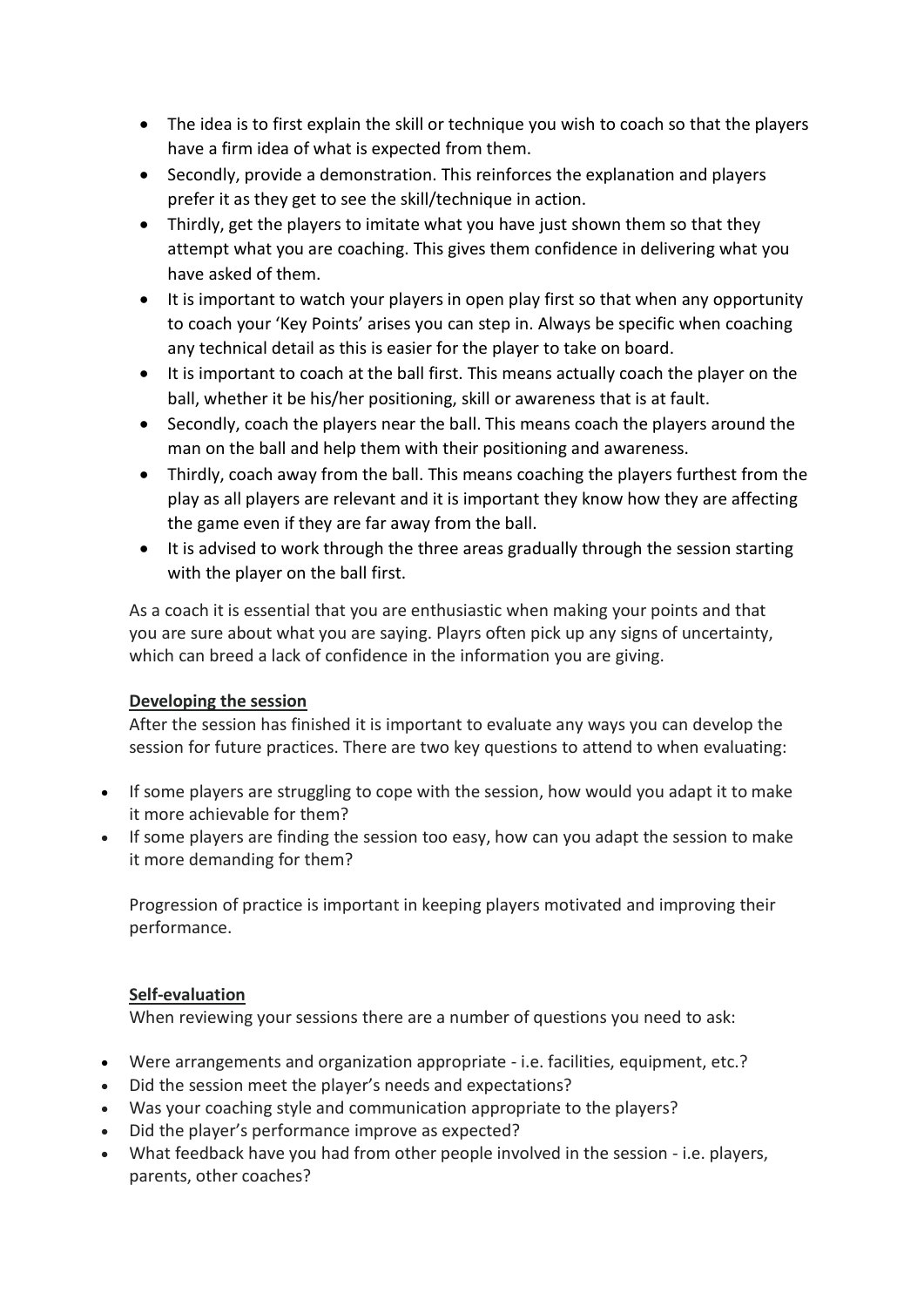- The idea is to first explain the skill or technique you wish to coach so that the players have a firm idea of what is expected from them.
- Secondly, provide a demonstration. This reinforces the explanation and players prefer it as they get to see the skill/technique in action.
- Thirdly, get the players to imitate what you have just shown them so that they attempt what you are coaching. This gives them confidence in delivering what you have asked of them.
- It is important to watch your players in open play first so that when any opportunity to coach your 'Key Points' arises you can step in. Always be specific when coaching any technical detail as this is easier for the player to take on board.
- It is important to coach at the ball first. This means actually coach the player on the ball, whether it be his/her positioning, skill or awareness that is at fault.
- Secondly, coach the players near the ball. This means coach the players around the man on the ball and help them with their positioning and awareness.
- Thirdly, coach away from the ball. This means coaching the players furthest from the play as all players are relevant and it is important they know how they are affecting the game even if they are far away from the ball.
- It is advised to work through the three areas gradually through the session starting with the player on the ball first.

As a coach it is essential that you are enthusiastic when making your points and that you are sure about what you are saying. Playrs often pick up any signs of uncertainty, which can breed a lack of confidence in the information you are giving.

# **Developing the session**

After the session has finished it is important to evaluate any ways you can develop the session for future practices. There are two key questions to attend to when evaluating:

- If some players are struggling to cope with the session, how would you adapt it to make it more achievable for them?
- If some players are finding the session too easy, how can you adapt the session to make it more demanding for them?

Progression of practice is important in keeping players motivated and improving their performance.

# **Self-evaluation**

When reviewing your sessions there are a number of questions you need to ask:

- Were arrangements and organization appropriate i.e. facilities, equipment, etc.?
- Did the session meet the player's needs and expectations?
- Was your coaching style and communication appropriate to the players?
- Did the player's performance improve as expected?
- What feedback have you had from other people involved in the session i.e. players, parents, other coaches?